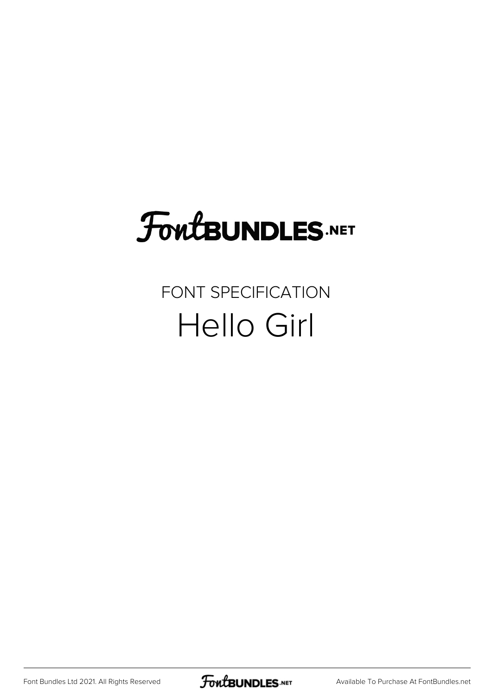# FoutBUNDLES.NET

#### FONT SPECIFICATION Hello Girl

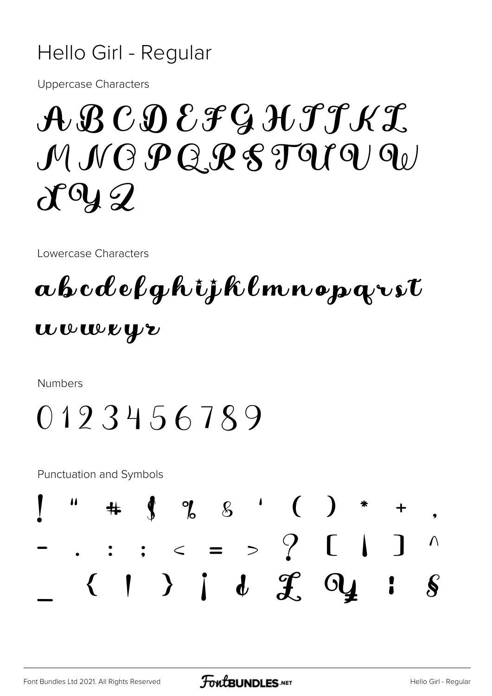#### Hello Girl - Regular

**Uppercase Characters** 

## $\mathcal{A}\mathcal{B}\mathcal{C}\mathcal{D}\mathcal{E}\mathcal{F}\mathcal{G}\mathcal{H}\mathcal{T}\mathcal{H}\mathcal{I}$  $MMOPQRSTQIQ$  $d^{0}yQ$

Lowercase Characters

### abcdefghijklmnoparst wwweyr

**Numbers** 

### 0123456789

**Punctuation and Symbols** 

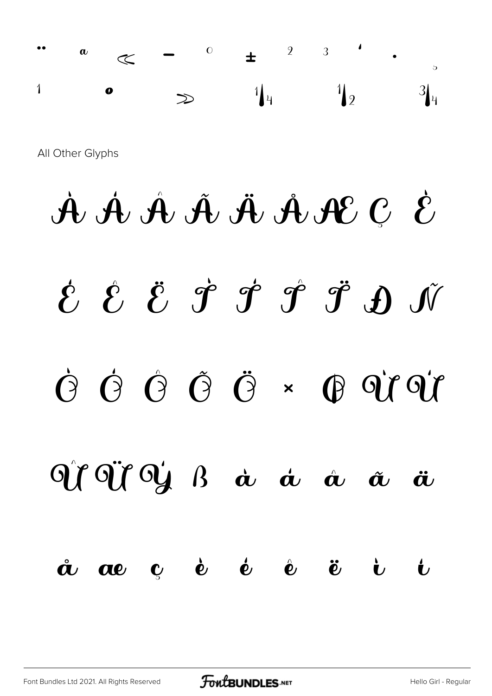

All Other Glyphs

# $\mathcal{A} \not\Phi \not\Phi \mathcal{A} \not\Phi \not\Phi \mathcal{A} \not\Phi \mathcal{C} \not\epsilon$  $\acute{\mathcal{E}}$   $\acute{\mathcal{E}}$   $\acute{\mathcal{E}}$   $\acute{\mathcal{F}}$   $\acute{\mathcal{F}}$   $\acute{\mathcal{F}}$   $\acute{\mathcal{F}}$   $\acute{\mathcal{F}}$   $\acute{\mathcal{F}}$  $\dot{O} \quad \dot{O} \quad \dot{O} \quad \ddot{O} \quad \ddot{O} \quad \star \quad \dot{O} \quad \dot{O} \quad \dot{O} \quad \dot{O} \quad \dot{O} \quad \dot{O} \quad \dot{O} \quad \dot{O} \quad \dot{O} \quad \dot{O} \quad \dot{O} \quad \dot{O} \quad \dot{O} \quad \dot{O} \quad \dot{O} \quad \dot{O} \quad \dot{O} \quad \dot{O} \quad \dot{O} \quad \dot{O} \quad \dot{O} \quad \dot{O} \quad \dot{O} \quad \dot{O} \quad \dot{O} \quad \dot{O$  $\partial \rho^{\alpha} \partial \rho^{\beta} \partial \rho^{\beta}$   $\beta$   $\dot{\alpha}$   $\dot{\alpha}$   $\dot{\alpha}$   $\dot{\alpha}$  $\ddot{\bm{a}}$  $\mathbf{c}$  è é è ë  $\mathring{\boldsymbol{\alpha}}$  ae  $\mathbf{v}$  $\mathbf t$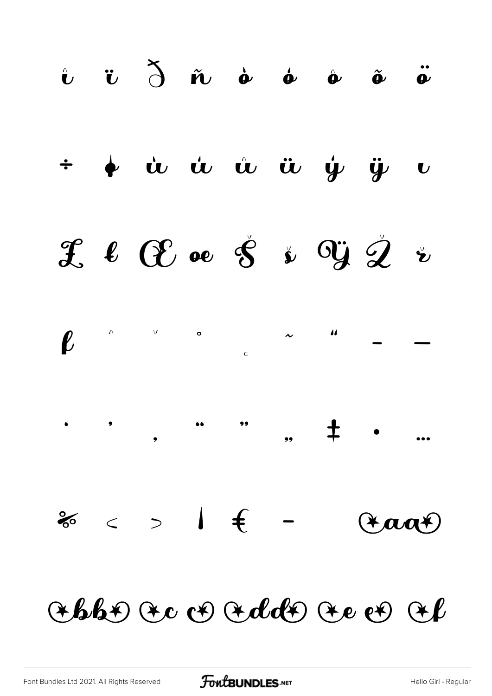